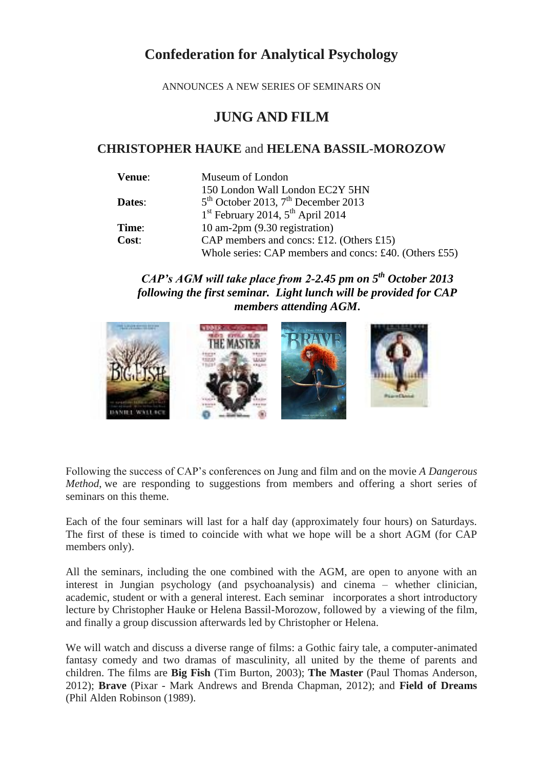## **Confederation for Analytical Psychology**

ANNOUNCES A NEW SERIES OF SEMINARS ON

## **JUNG AND FILM**

## **CHRISTOPHER HAUKE** and **HELENA BASSIL-MOROZOW**

| Venue: | Museum of London                                       |
|--------|--------------------------------------------------------|
|        | 150 London Wall London EC2Y 5HN                        |
| Dates: | $5th$ October 2013, $7th$ December 2013                |
|        | $1st$ February 2014, $5th$ April 2014                  |
| Time:  | 10 am-2pm (9.30 registration)                          |
| Cost:  | CAP members and concs: £12. (Others £15)               |
|        | Whole series: CAP members and concs: £40. (Others £55) |

## *CAP's AGM will take place from 2-2.45 pm on 5th October 2013 following the first seminar. Light lunch will be provided for CAP members attending AGM***.**



Following the success of CAP's conferences on Jung and film and on the movie *A Dangerous Method*, we are responding to suggestions from members and offering a short series of seminars on this theme.

Each of the four seminars will last for a half day (approximately four hours) on Saturdays. The first of these is timed to coincide with what we hope will be a short AGM (for CAP members only).

All the seminars, including the one combined with the AGM, are open to anyone with an interest in Jungian psychology (and psychoanalysis) and cinema – whether clinician, academic, student or with a general interest. Each seminar incorporates a short introductory lecture by Christopher Hauke or Helena Bassil-Morozow, followed by a viewing of the film, and finally a group discussion afterwards led by Christopher or Helena.

We will watch and discuss a diverse range of films: a Gothic fairy tale, a computer-animated fantasy comedy and two dramas of masculinity, all united by the theme of parents and children. The films are **Big Fish** (Tim Burton, 2003); **The Master** (Paul Thomas Anderson, 2012); **Brave** (Pixar - Mark Andrews and Brenda Chapman, 2012); and **Field of Dreams** (Phil Alden Robinson (1989).